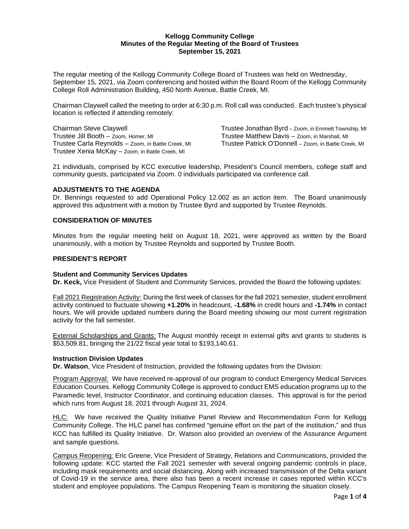# **Kellogg Community College Minutes of the Regular Meeting of the Board of Trustees September 15, 2021**

The regular meeting of the Kellogg Community College Board of Trustees was held on Wednesday, September 15, 2021, via Zoom conferencing and hosted within the Board Room of the Kellogg Community College Roll Administration Building, 450 North Avenue, Battle Creek, MI.

Chairman Claywell called the meeting to order at 6:30 p.m. Roll call was conducted. Each trustee's physical location is reflected if attending remotely:

Trustee Carla Reynolds – Zoom, in Battle Creek, MI Trustee Xenia McKay – Zoom, in Battle Creek, MI

Chairman Steve Claywell **Trustee Jonathan Byrd** – Zoom, in Emmett Township, MI Trustee Jill Booth – Zoom, Homer, MI Trustee Matthew Davis – Zoom, in Marshall, MI<br>Trustee Carla Revnolds – Zoom, in Battle Creek, MI Trustee Patrick O'Donnell – Zoom, in Battle Creek, MI

21 individuals, comprised by KCC executive leadership, President's Council members, college staff and community guests, participated via Zoom. 0 individuals participated via conference call.

# **ADJUSTMENTS TO THE AGENDA**

Dr. Bennings requested to add Operational Policy 12.002 as an action item. The Board unanimously approved this adjustment with a motion by Trustee Byrd and supported by Trustee Reynolds.

## **CONSIDERATION OF MINUTES**

Minutes from the regular meeting held on August 18, 2021, were approved as written by the Board unanimously, with a motion by Trustee Reynolds and supported by Trustee Booth.

## **PRESIDENT'S REPORT**

#### **Student and Community Services Updates**

**Dr. Keck,** Vice President of Student and Community Services, provided the Board the following updates:

Fall 2021 Registration Activity: During the first week of classes for the fall 2021 semester, student enrollment activity continued to fluctuate showing **+1.20%** in headcount, **-1.68%** in credit hours and **-1.74%** in contact hours. We will provide updated numbers during the Board meeting showing our most current registration activity for the fall semester.

External Scholarships and Grants: The August monthly receipt in external gifts and grants to students is \$53,509.81, bringing the 21/22 fiscal year total to \$193,140.61.

#### **Instruction Division Updates**

**Dr. Watson**, Vice President of Instruction, provided the following updates from the Division:

Program Approval:We have received re-approval of our program to conduct Emergency Medical Services Education Courses. Kellogg Community College is approved to conduct EMS education programs up to the Paramedic level, Instructor Coordinator, and continuing education classes. This approval is for the period which runs from August 18, 2021 through August 31, 2024.

HLC: We have received the Quality Initiative Panel Review and Recommendation Form for Kellogg Community College. The HLC panel has confirmed "genuine effort on the part of the institution," and thus KCC has fulfilled its Quality Initiative. Dr. Watson also provided an overview of the Assurance Argument and sample questions.

Campus Reopening: Eric Greene, Vice President of Strategy, Relations and Communications, provided the following update: KCC started the Fall 2021 semester with several ongoing pandemic controls in place, including mask requirements and social distancing. Along with increased transmission of the Delta variant of Covid-19 in the service area, there also has been a recent increase in cases reported within KCC's student and employee populations. The Campus Reopening Team is monitoring the situation closely.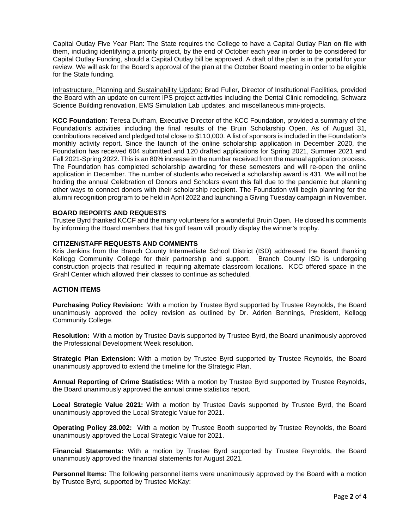Capital Outlay Five Year Plan: The State requires the College to have a Capital Outlay Plan on file with them, including identifying a priority project, by the end of October each year in order to be considered for Capital Outlay Funding, should a Capital Outlay bill be approved. A draft of the plan is in the portal for your review. We will ask for the Board's approval of the plan at the October Board meeting in order to be eligible for the State funding.

Infrastructure, Planning and Sustainability Update: Brad Fuller, Director of Institutional Facilities, provided the Board with an update on current IPS project activities including the Dental Clinic remodeling, Schwarz Science Building renovation, EMS Simulation Lab updates, and miscellaneous mini-projects.

**KCC Foundation:** Teresa Durham, Executive Director of the KCC Foundation, provided a summary of the Foundation's activities including the final results of the Bruin Scholarship Open. As of August 31, contributions received and pledged total close to \$110,000. A list of sponsors is included in the Foundation's monthly activity report. Since the launch of the online scholarship application in December 2020, the Foundation has received 604 submitted and 120 drafted applications for Spring 2021, Summer 2021 and Fall 2021-Spring 2022. This is an 80% increase in the number received from the manual application process. The Foundation has completed scholarship awarding for these semesters and will re-open the online application in December. The number of students who received a scholarship award is 431. We will not be holding the annual Celebration of Donors and Scholars event this fall due to the pandemic but planning other ways to connect donors with their scholarship recipient. The Foundation will begin planning for the alumni recognition program to be held in April 2022 and launching a Giving Tuesday campaign in November.

## **BOARD REPORTS AND REQUESTS**

Trustee Byrd thanked KCCF and the many volunteers for a wonderful Bruin Open. He closed his comments by informing the Board members that his golf team will proudly display the winner's trophy.

## **CITIZEN/STAFF REQUESTS AND COMMENTS**

Kris Jenkins from the Branch County Intermediate School District (ISD) addressed the Board thanking Kellogg Community College for their partnership and support. Branch County ISD is undergoing construction projects that resulted in requiring alternate classroom locations. KCC offered space in the Grahl Center which allowed their classes to continue as scheduled.

#### **ACTION ITEMS**

**Purchasing Policy Revision:** With a motion by Trustee Byrd supported by Trustee Reynolds, the Board unanimously approved the policy revision as outlined by Dr. Adrien Bennings, President, Kellogg Community College.

**Resolution:** With a motion by Trustee Davis supported by Trustee Byrd, the Board unanimously approved the Professional Development Week resolution.

**Strategic Plan Extension:** With a motion by Trustee Byrd supported by Trustee Reynolds, the Board unanimously approved to extend the timeline for the Strategic Plan.

**Annual Reporting of Crime Statistics:** With a motion by Trustee Byrd supported by Trustee Reynolds, the Board unanimously approved the annual crime statistics report.

**Local Strategic Value 2021:** With a motion by Trustee Davis supported by Trustee Byrd, the Board unanimously approved the Local Strategic Value for 2021.

**Operating Policy 28.002:** With a motion by Trustee Booth supported by Trustee Reynolds, the Board unanimously approved the Local Strategic Value for 2021.

**Financial Statements:** With a motion by Trustee Byrd supported by Trustee Reynolds, the Board unanimously approved the financial statements for August 2021.

**Personnel Items:** The following personnel items were unanimously approved by the Board with a motion by Trustee Byrd, supported by Trustee McKay: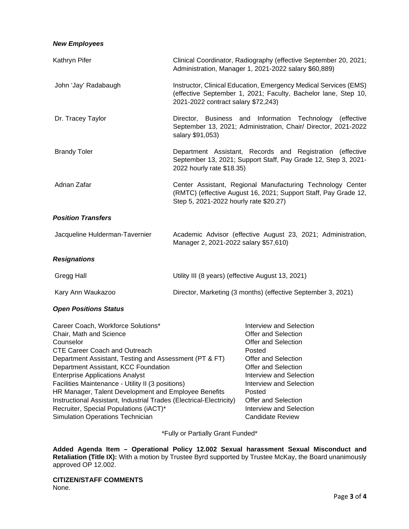# *New Employees*

| Kathryn Pifer                  | Clinical Coordinator, Radiography (effective September 20, 2021;<br>Administration, Manager 1, 2021-2022 salary \$60,889)                                                 |
|--------------------------------|---------------------------------------------------------------------------------------------------------------------------------------------------------------------------|
| John 'Jay' Radabaugh           | Instructor, Clinical Education, Emergency Medical Services (EMS)<br>(effective September 1, 2021; Faculty, Bachelor lane, Step 10,<br>2021-2022 contract salary \$72,243) |
| Dr. Tracey Taylor              | Director, Business and Information Technology (effective<br>September 13, 2021; Administration, Chair/ Director, 2021-2022<br>salary \$91,053)                            |
| <b>Brandy Toler</b>            | Department Assistant, Records and Registration (effective<br>September 13, 2021; Support Staff, Pay Grade 12, Step 3, 2021-<br>2022 hourly rate \$18.35)                  |
| Adnan Zafar                    | Center Assistant, Regional Manufacturing Technology Center<br>(RMTC) (effective August 16, 2021; Support Staff, Pay Grade 12,<br>Step 5, 2021-2022 hourly rate \$20.27)   |
| <b>Position Transfers</b>      |                                                                                                                                                                           |
| Jacqueline Hulderman-Tavernier | Academic Advisor (effective August 23, 2021; Administration,<br>Manager 2, 2021-2022 salary \$57,610)                                                                     |
| <b>Resignations</b>            |                                                                                                                                                                           |
| Gregg Hall                     | Utility III (8 years) (effective August 13, 2021)                                                                                                                         |
| Kary Ann Waukazoo              | Director, Marketing (3 months) (effective September 3, 2021)                                                                                                              |
| <b>Open Positions Status</b>   |                                                                                                                                                                           |

| Career Coach, Workforce Solutions*                                  | Interview and Selection        |
|---------------------------------------------------------------------|--------------------------------|
| Chair, Math and Science                                             | Offer and Selection            |
| Counselor                                                           | Offer and Selection            |
| <b>CTE Career Coach and Outreach</b>                                | Posted                         |
| Department Assistant, Testing and Assessment (PT & FT)              | Offer and Selection            |
| Department Assistant, KCC Foundation                                | Offer and Selection            |
| <b>Enterprise Applications Analyst</b>                              | Interview and Selection        |
| Facilities Maintenance - Utility II (3 positions)                   | Interview and Selection        |
| HR Manager, Talent Development and Employee Benefits                | Posted                         |
| Instructional Assistant, Industrial Trades (Electrical-Electricity) | Offer and Selection            |
| Recruiter, Special Populations (iACT)*                              | <b>Interview and Selection</b> |
| <b>Simulation Operations Technician</b>                             | <b>Candidate Review</b>        |
|                                                                     |                                |

\*Fully or Partially Grant Funded\*

**Added Agenda Item – Operational Policy 12.002 Sexual harassment Sexual Misconduct and Retaliation (Title IX):** With a motion by Trustee Byrd supported by Trustee McKay, the Board unanimously approved OP 12.002.

**CITIZEN/STAFF COMMENTS** None.